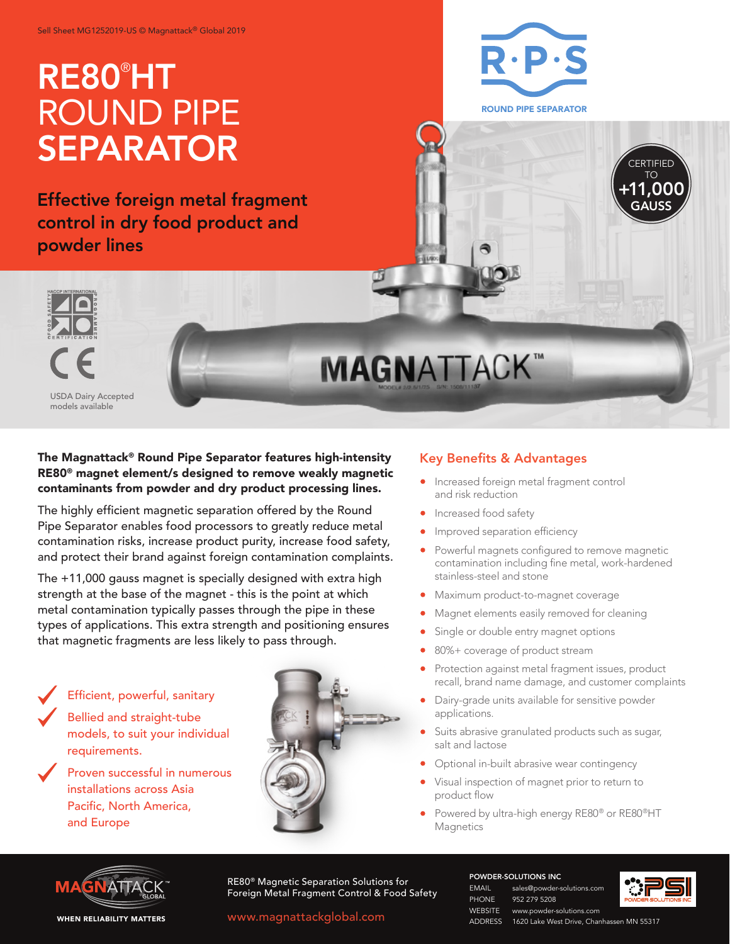# RE80® HT ROUND PIPE SEPARATOR

Effective foreign metal fragment control in dry food product and powder lines



**CERTIFIED** TO +11,000 GAUSS



USDA Dairy Accepted models available

### The Magnattack<sup>®</sup> Round Pipe Separator features high-intensity Key Benefits & Advantages RE80® magnet element/s designed to remove weakly magnetic contaminants from powder and dry product processing lines.

The highly efficient magnetic separation offered by the Round Pipe Separator enables food processors to greatly reduce metal contamination risks, increase product purity, increase food safety, and protect their brand against foreign contamination complaints.

The +11,000 gauss magnet is specially designed with extra high strength at the base of the magnet - this is the point at which metal contamination typically passes through the pipe in these types of applications. This extra strength and positioning ensures that magnetic fragments are less likely to pass through.

 Efficient, powerful, sanitary

Bellied and straight-tube models, to suit your individual requirements.

Proven successful in numerous installations across Asia Pacific, North America, and Europe



- Increased foreign metal fragment control and risk reduction
- **•** Increased food safety

**MAGNATTACK**<sup>\*\*</sup>

- Improved separation efficiency
- **•** Powerful magnets configured to remove magnetic contamination including fine metal, work-hardened stainless-steel and stone
- Maximum product-to-magnet coverage
- Magnet elements easily removed for cleaning
- Single or double entry magnet options
- 80%+ coverage of product stream
- Protection against metal fragment issues, product recall, brand name damage, and customer complaints
- Dairy-grade units available for sensitive powder applications.
- Suits abrasive granulated products such as sugar, salt and lactose
- Optional in-built abrasive wear contingency
- Visual inspection of magnet prior to return to product flow
- Powered by ultra-high energy RE80<sup>®</sup> or RE80<sup>®</sup>HT **Magnetics**



RE80® Magnetic Separation Solutions for **FORM AND THE READ TEAM CONTROL CONTROL** Sales@powder-solutions.com<br>Foreign Metal Fragment Control & Food Safety<br>PHONE 952 279 5208

www.magnattackglobal.com

POWDER-SOLUTIONS INC

952 279 5208 WEBSITE www.powder-solutions.com ADDRESS 1620 Lake West Drive, Chanhassen MN 55317